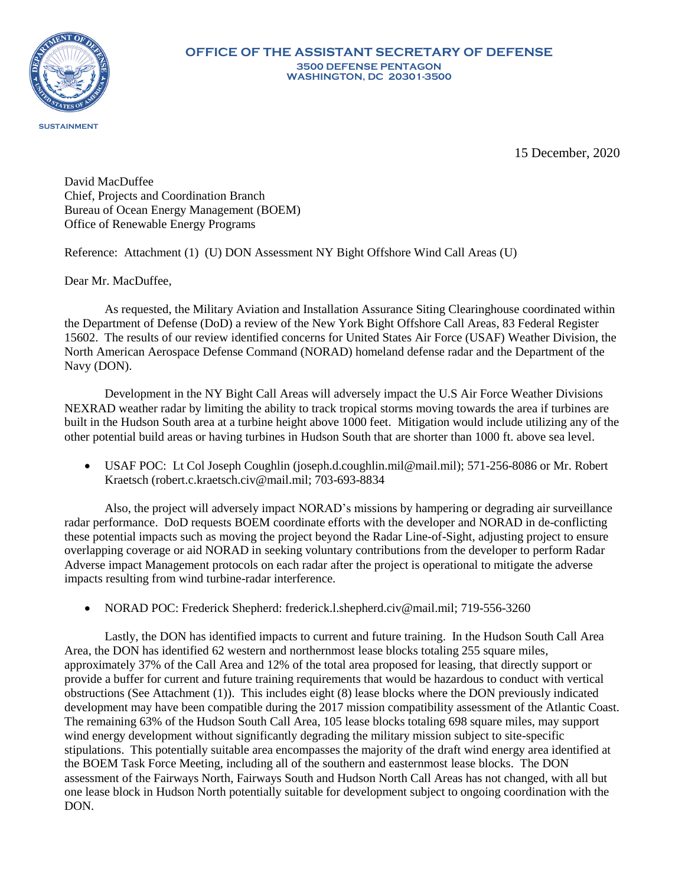

15 December, 2020

David MacDuffee Chief, Projects and Coordination Branch Bureau of Ocean Energy Management (BOEM) Office of Renewable Energy Programs

Reference: Attachment (1) (U) DON Assessment NY Bight Offshore Wind Call Areas (U)

Dear Mr. MacDuffee,

As requested, the Military Aviation and Installation Assurance Siting Clearinghouse coordinated within the Department of Defense (DoD) a review of the New York Bight Offshore Call Areas, 83 Federal Register 15602. The results of our review identified concerns for United States Air Force (USAF) Weather Division, the North American Aerospace Defense Command (NORAD) homeland defense radar and the Department of the Navy (DON).

Development in the NY Bight Call Areas will adversely impact the U.S Air Force Weather Divisions NEXRAD weather radar by limiting the ability to track tropical storms moving towards the area if turbines are built in the Hudson South area at a turbine height above 1000 feet. Mitigation would include utilizing any of the other potential build areas or having turbines in Hudson South that are shorter than 1000 ft. above sea level.

 USAF POC: Lt Col Joseph Coughlin (joseph.d.coughlin.mil@mail.mil); 571-256-8086 or Mr. Robert Kraetsch (robert.c.kraetsch.civ@mail.mil; 703-693-8834

Also, the project will adversely impact NORAD's missions by hampering or degrading air surveillance radar performance. DoD requests BOEM coordinate efforts with the developer and NORAD in de-conflicting these potential impacts such as moving the project beyond the Radar Line-of-Sight, adjusting project to ensure overlapping coverage or aid NORAD in seeking voluntary contributions from the developer to perform Radar Adverse impact Management protocols on each radar after the project is operational to mitigate the adverse impacts resulting from wind turbine-radar interference.

• NORAD POC: Frederick Shepherd: [frederick.l.shepherd.civ@mail.mil;](mailto:frederick.l.shepherd.civ@mail.mil) 719-556-3260

Lastly, the DON has identified impacts to current and future training. In the Hudson South Call Area Area, the DON has identified 62 western and northernmost lease blocks totaling 255 square miles, approximately 37% of the Call Area and 12% of the total area proposed for leasing, that directly support or provide a buffer for current and future training requirements that would be hazardous to conduct with vertical obstructions (See Attachment (1)). This includes eight (8) lease blocks where the DON previously indicated development may have been compatible during the 2017 mission compatibility assessment of the Atlantic Coast. The remaining 63% of the Hudson South Call Area, 105 lease blocks totaling 698 square miles, may support wind energy development without significantly degrading the military mission subject to site-specific stipulations. This potentially suitable area encompasses the majority of the draft wind energy area identified at the BOEM Task Force Meeting, including all of the southern and easternmost lease blocks. The DON assessment of the Fairways North, Fairways South and Hudson North Call Areas has not changed, with all but one lease block in Hudson North potentially suitable for development subject to ongoing coordination with the DON.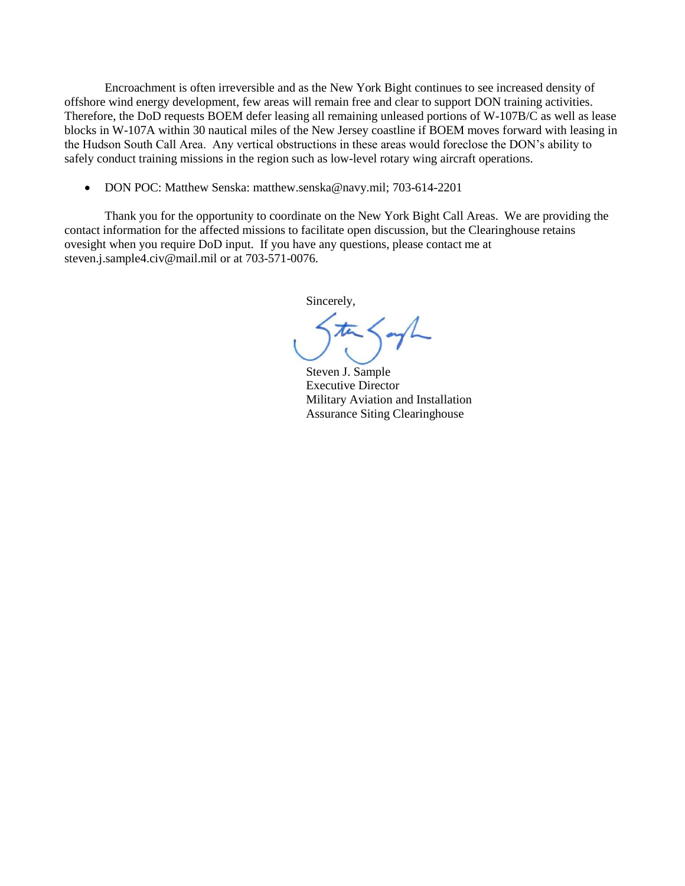Encroachment is often irreversible and as the New York Bight continues to see increased density of offshore wind energy development, few areas will remain free and clear to support DON training activities. Therefore, the DoD requests BOEM defer leasing all remaining unleased portions of W-107B/C as well as lease blocks in W-107A within 30 nautical miles of the New Jersey coastline if BOEM moves forward with leasing in the Hudson South Call Area. Any vertical obstructions in these areas would foreclose the DON's ability to safely conduct training missions in the region such as low-level rotary wing aircraft operations.

• DON POC: Matthew Senska: matthew.senska@navy.mil; 703-614-2201

Thank you for the opportunity to coordinate on the New York Bight Call Areas. We are providing the contact information for the affected missions to facilitate open discussion, but the Clearinghouse retains ovesight when you require DoD input. If you have any questions, please contact me at [steven.j.sample4.civ@mail.mil](mailto:steven.j.sample4.civ@mail.mil) or at 703-571-0076.

Sincerely,

Steven J. Sample Executive Director Military Aviation and Installation Assurance Siting Clearinghouse